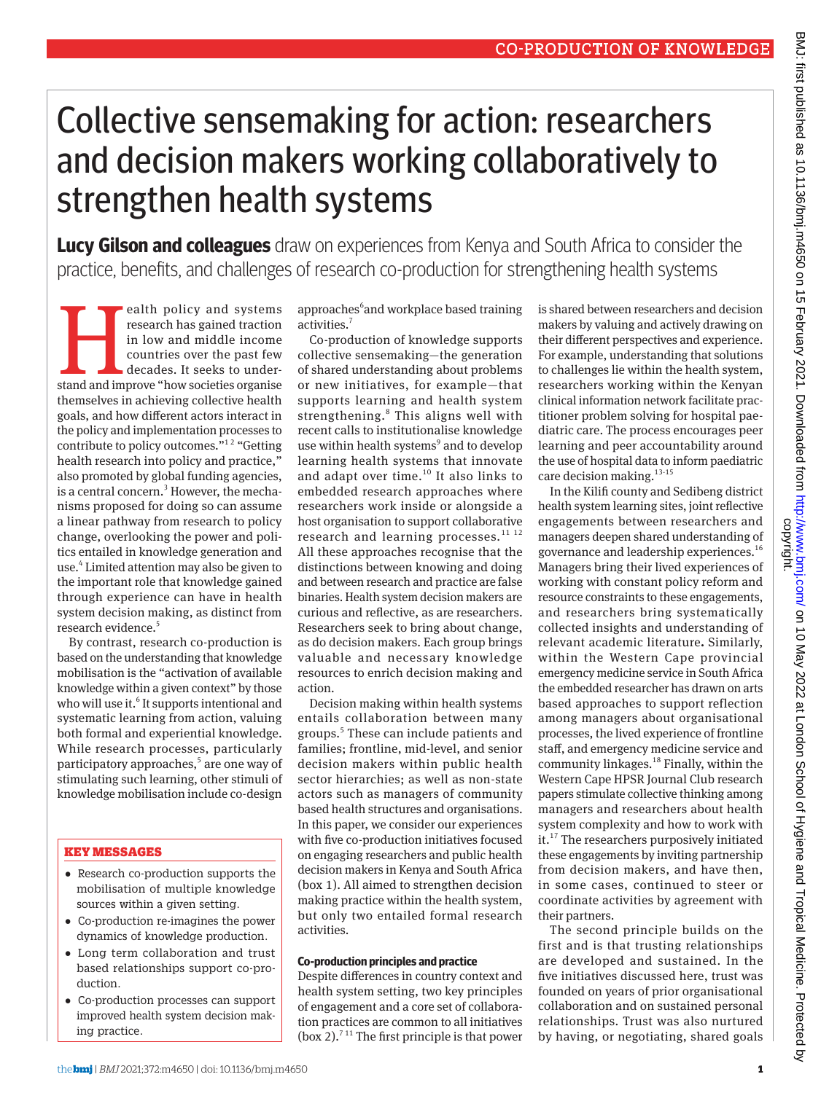# Collective sensemaking for action: researchers and decision makers working collaboratively to strengthen health systems

**Lucy Gilson and colleagues** draw on experiences from Kenya and South Africa to consider the practice, benefits, and challenges of research co-production for strengthening health systems

**Example 18 Alth** policy and systems research has gained traction in low and middle income countries over the past few decades. It seeks to understand and improve "how societies organise research has gained traction in low and middle income countries over the past few decades. It seeks to underthemselves in achieving collective health goals, and how different actors interact in the policy and implementation processes to contribute to policy outcomes.<sup>"12</sup> "Getting" health research into policy and practice," also promoted by global funding agencies, is a central concern.<sup>3</sup> However, the mechanisms proposed for doing so can assume a linear pathway from research to policy change, overlooking the power and politics entailed in knowledge generation and use.4 Limited attention may also be given to the important role that knowledge gained through experience can have in health system decision making, as distinct from research evidence.<sup>5</sup>

By contrast, research co-production is based on the understanding that knowledge mobilisation is the "activation of available knowledge within a given context" by those who will use it.<sup>6</sup> It supports intentional and systematic learning from action, valuing both formal and experiential knowledge. While research processes, particularly participatory approaches,<sup>5</sup> are one way of stimulating such learning, other stimuli of knowledge mobilisation include co-design

## KEY MESSAGES

- •  Research co-production supports the mobilisation of multiple knowledge sources within a given setting.
- •  Co-production re-imagines the power dynamics of knowledge production.
- •  Long term collaboration and trust based relationships support co-production.
- •  Co-production processes can support improved health system decision making practice.

approaches<sup>6</sup> and workplace based training activities.<sup>7</sup>

Co-production of knowledge supports collective sensemaking—the generation of shared understanding about problems or new initiatives, for example—that supports learning and health system strengthening.<sup>8</sup> This aligns well with recent calls to institutionalise knowledge use within health systems<sup>9</sup> and to develop learning health systems that innovate and adapt over time. $10$  It also links to embedded research approaches where researchers work inside or alongside a host organisation to support collaborative research and learning processes. $^{11}$   $^{12}$ All these approaches recognise that the distinctions between knowing and doing and between research and practice are false binaries. Health system decision makers are curious and reflective, as are researchers. Researchers seek to bring about change, as do decision makers. Each group brings valuable and necessary knowledge resources to enrich decision making and action.

Decision making within health systems entails collaboration between many groups.<sup>5</sup> These can include patients and families; frontline, mid-level, and senior decision makers within public health sector hierarchies; as well as non-state actors such as managers of community based health structures and organisations. In this paper, we consider our experiences with five co-production initiatives focused on engaging researchers and public health decision makers in Kenya and South Africa (box 1). All aimed to strengthen decision making practice within the health system, but only two entailed formal research activities.

## **Co-production principles and practice**

Despite differences in country context and health system setting, two key principles of engagement and a core set of collaboration practices are common to all initiatives (box 2).<sup> $711$ </sup> The first principle is that power

is shared between researchers and decision makers by valuing and actively drawing on their different perspectives and experience. For example, understanding that solutions to challenges lie within the health system, researchers working within the Kenyan clinical information network facilitate practitioner problem solving for hospital paediatric care. The process encourages peer learning and peer accountability around the use of hospital data to inform paediatric care decision making.<sup>13-15</sup>

In the Kilifi county and Sedibeng district health system learning sites, joint reflective engagements between researchers and managers deepen shared understanding of governance and leadership experiences.<sup>16</sup> Managers bring their lived experiences of working with constant policy reform and resource constraints to these engagements, and researchers bring systematically collected insights and understanding of relevant academic literature**.** Similarly, within the Western Cape provincial emergency medicine service in South Africa the embedded researcher has drawn on arts based approaches to support reflection among managers about organisational processes, the lived experience of frontline staff, and emergency medicine service and community linkages.<sup>18</sup> Finally, within the Western Cape HPSR Journal Club research papers stimulate collective thinking among managers and researchers about health system complexity and how to work with it.17 The researchers purposively initiated these engagements by inviting partnership from decision makers, and have then, in some cases, continued to steer or coordinate activities by agreement with their partners.

The second principle builds on the first and is that trusting relationships are developed and sustained. In the five initiatives discussed here, trust was founded on years of prior organisational collaboration and on sustained personal relationships. Trust was also nurtured by having, or negotiating, shared goals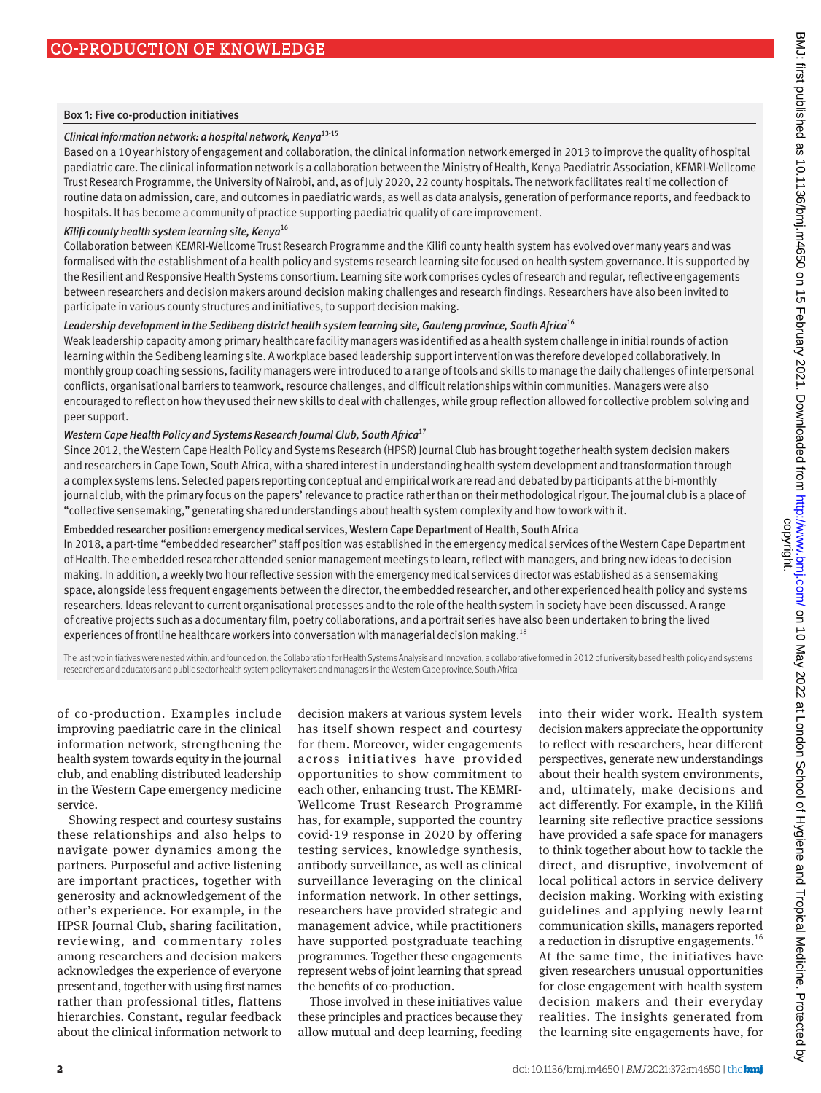#### Box 1: Five co-production initiatives

## *Clinical information network: a hospital network, Kenya*13-15

Based on a 10 year history of engagement and collaboration, the clinical information network emerged in 2013 to improve the quality of hospital paediatric care. The clinical information network is a collaboration between the Ministry of Health, Kenya Paediatric Association, KEMRI-Wellcome Trust Research Programme, the University of Nairobi, and, as of July 2020, 22 county hospitals. The network facilitates real time collection of routine data on admission, care, and outcomes in paediatric wards, as well as data analysis, generation of performance reports, and feedback to hospitals. It has become a community of practice supporting paediatric quality of care improvement.

## *Kilifi county health system learning site, Kenya*<sup>16</sup>

Collaboration between KEMRI-Wellcome Trust Research Programme and the Kilifi county health system has evolved over many years and was formalised with the establishment of a health policy and systems research learning site focused on health system governance. It is supported by the Resilient and Responsive Health Systems consortium. Learning site work comprises cycles of research and regular, reflective engagements between researchers and decision makers around decision making challenges and research findings. Researchers have also been invited to participate in various county structures and initiatives, to support decision making.

#### *Leadership development in the Sedibeng district health system learning site, Gauteng province, South Africa*<sup>16</sup>

Weak leadership capacity among primary healthcare facility managers was identified as a health system challenge in initial rounds of action learning within the Sedibeng learning site. A workplace based leadership support intervention was therefore developed collaboratively. In monthly group coaching sessions, facility managers were introduced to a range of tools and skills to manage the daily challenges of interpersonal conflicts, organisational barriers to teamwork, resource challenges, and difficult relationships within communities. Managers were also encouraged to reflect on how they used their new skills to deal with challenges, while group reflection allowed for collective problem solving and peer support.

## *Western Cape Health Policy and Systems Research Journal Club, South Africa*<sup>17</sup>

Since 2012, the Western Cape Health Policy and Systems Research (HPSR) Journal Club has brought together health system decision makers and researchers in Cape Town, South Africa, with a shared interest in understanding health system development and transformation through a complex systems lens. Selected papers reporting conceptual and empirical work are read and debated by participants at the bi-monthly journal club, with the primary focus on the papers' relevance to practice rather than on their methodological rigour. The journal club is a place of "collective sensemaking," generating shared understandings about health system complexity and how to work with it.

## Embedded researcher position: emergency medical services, Western Cape Department of Health, South Africa

In 2018, a part-time "embedded researcher" staff position was established in the emergency medical services of the Western Cape Department of Health. The embedded researcher attended senior management meetings to learn, reflect with managers, and bring new ideas to decision making. In addition, a weekly two hour reflective session with the emergency medical services director was established as a sensemaking space, alongside less frequent engagements between the director, the embedded researcher, and other experienced health policy and systems researchers. Ideas relevant to current organisational processes and to the role of the health system in society have been discussed. A range of creative projects such as a documentary film, poetry collaborations, and a portrait series have also been undertaken to bring the lived experiences of frontline healthcare workers into conversation with managerial decision making.<sup>18</sup>

The last two initiatives were nested within, and founded on, the Collaboration for Health Systems Analysis and Innovation, a collaborative formed in 2012 of university based health policy and systems researchers and educators and public sector health system policymakers and managers in the Western Cape province, South Africa

of co-production. Examples include improving paediatric care in the clinical information network, strengthening the health system towards equity in the journal club, and enabling distributed leadership in the Western Cape emergency medicine service.

Showing respect and courtesy sustains these relationships and also helps to navigate power dynamics among the partners. Purposeful and active listening are important practices, together with generosity and acknowledgement of the other's experience. For example, in the HPSR Journal Club, sharing facilitation, reviewing, and commentary roles among researchers and decision makers acknowledges the experience of everyone present and, together with using first names rather than professional titles, flattens hierarchies. Constant, regular feedback about the clinical information network to decision makers at various system levels has itself shown respect and courtesy for them. Moreover, wider engagements across initiatives have provided opportunities to show commitment to each other, enhancing trust. The KEMRI-Wellcome Trust Research Programme has, for example, supported the country covid-19 response in 2020 by offering testing services, knowledge synthesis, antibody surveillance, as well as clinical surveillance leveraging on the clinical information network. In other settings, researchers have provided strategic and management advice, while practitioners have supported postgraduate teaching programmes. Together these engagements represent webs of joint learning that spread the benefits of co-production.

Those involved in these initiatives value these principles and practices because they allow mutual and deep learning, feeding

into their wider work. Health system decision makers appreciate the opportunity to reflect with researchers, hear different perspectives, generate new understandings about their health system environments, and, ultimately, make decisions and act differently. For example, in the Kilifi learning site reflective practice sessions have provided a safe space for managers to think together about how to tackle the direct, and disruptive, involvement of local political actors in service delivery decision making. Working with existing guidelines and applying newly learnt communication skills, managers reported a reduction in disruptive engagements.<sup>16</sup> At the same time, the initiatives have given researchers unusual opportunities for close engagement with health system decision makers and their everyday realities. The insights generated from the learning site engagements have, for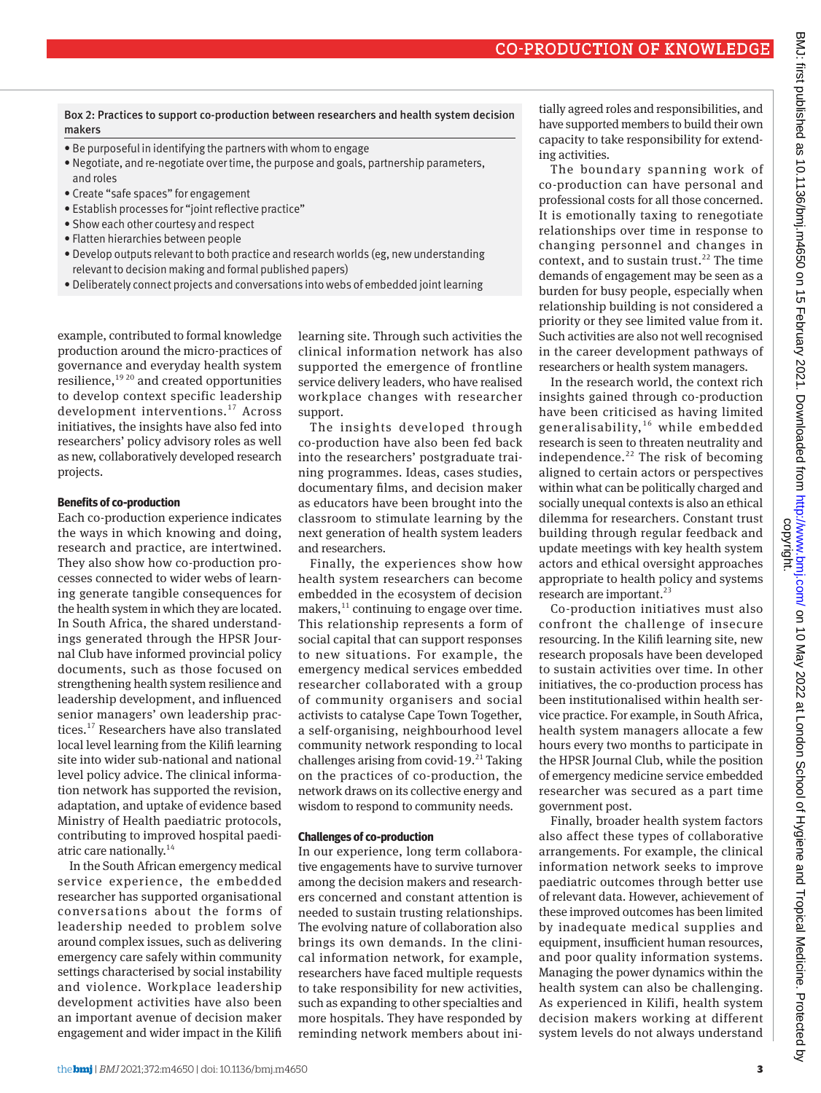Box 2: Practices to support co-production between researchers and health system decision makers

- Be purposeful in identifying the partners with whom to engage
- Negotiate, and re-negotiate over time, the purpose and goals, partnership parameters, and roles
- Create "safe spaces" for engagement
- Establish processes for "joint reflective practice"
- Show each other courtesy and respect
- Flatten hierarchies between people
- Develop outputs relevant to both practice and research worlds (eg, new understanding relevant to decision making and formal published papers)
- Deliberately connect projects and conversations into webs of embedded joint learning

example, contributed to formal knowledge production around the micro-practices of governance and everyday health system resilience, $1920$  and created opportunities to develop context specific leadership development interventions.17 Across initiatives, the insights have also fed into researchers' policy advisory roles as well as new, collaboratively developed research projects.

#### **Benefits of co-production**

Each co-production experience indicates the ways in which knowing and doing, research and practice, are intertwined. They also show how co-production processes connected to wider webs of learning generate tangible consequences for the health system in which they are located. In South Africa, the shared understandings generated through the HPSR Journal Club have informed provincial policy documents, such as those focused on strengthening health system resilience and leadership development, and influenced senior managers' own leadership practices.<sup>17</sup> Researchers have also translated local level learning from the Kilifi learning site into wider sub-national and national level policy advice. The clinical information network has supported the revision, adaptation, and uptake of evidence based Ministry of Health paediatric protocols, contributing to improved hospital paediatric care nationally.<sup>14</sup>

In the South African emergency medical service experience, the embedded researcher has supported organisational conversations about the forms of leadership needed to problem solve around complex issues, such as delivering emergency care safely within community settings characterised by social instability and violence. Workplace leadership development activities have also been an important avenue of decision maker engagement and wider impact in the Kilifi

learning site. Through such activities the clinical information network has also supported the emergence of frontline service delivery leaders, who have realised workplace changes with researcher support.

The insights developed through co-production have also been fed back into the researchers' postgraduate training programmes. Ideas, cases studies, documentary films, and decision maker as educators have been brought into the classroom to stimulate learning by the next generation of health system leaders and researchers.

Finally, the experiences show how health system researchers can become embedded in the ecosystem of decision makers, $^{11}$  continuing to engage over time. This relationship represents a form of social capital that can support responses to new situations. For example, the emergency medical services embedded researcher collaborated with a group of community organisers and social activists to catalyse Cape Town Together, a self-organising, neighbourhood level community network responding to local challenges arising from covid-19. $^{21}$  Taking on the practices of co-production, the network draws on its collective energy and wisdom to respond to community needs.

#### **Challenges of co-production**

In our experience, long term collaborative engagements have to survive turnover among the decision makers and researchers concerned and constant attention is needed to sustain trusting relationships. The evolving nature of collaboration also brings its own demands. In the clinical information network, for example, researchers have faced multiple requests to take responsibility for new activities, such as expanding to other specialties and more hospitals. They have responded by reminding network members about initially agreed roles and responsibilities, and have supported members to build their own capacity to take responsibility for extending activities.

The boundary spanning work of co-production can have personal and professional costs for all those concerned. It is emotionally taxing to renegotiate relationships over time in response to changing personnel and changes in context, and to sustain trust.<sup>22</sup> The time demands of engagement may be seen as a burden for busy people, especially when relationship building is not considered a priority or they see limited value from it. Such activities are also not well recognised in the career development pathways of researchers or health system managers.

In the research world, the context rich insights gained through co-production have been criticised as having limited generalisability, $16$  while embedded research is seen to threaten neutrality and independence.<sup>22</sup> The risk of becoming aligned to certain actors or perspectives within what can be politically charged and socially unequal contexts is also an ethical dilemma for researchers. Constant trust building through regular feedback and update meetings with key health system actors and ethical oversight approaches appropriate to health policy and systems research are important. $^{23}$ 

Co-production initiatives must also confront the challenge of insecure resourcing. In the Kilifi learning site, new research proposals have been developed to sustain activities over time. In other initiatives, the co-production process has been institutionalised within health service practice. For example, in South Africa, health system managers allocate a few hours every two months to participate in the HPSR Journal Club, while the position of emergency medicine service embedded researcher was secured as a part time government post.

Finally, broader health system factors also affect these types of collaborative arrangements. For example, the clinical information network seeks to improve paediatric outcomes through better use of relevant data. However, achievement of these improved outcomes has been limited by inadequate medical supplies and equipment, insufficient human resources, and poor quality information systems. Managing the power dynamics within the health system can also be challenging. As experienced in Kilifi, health system decision makers working at different system levels do not always understand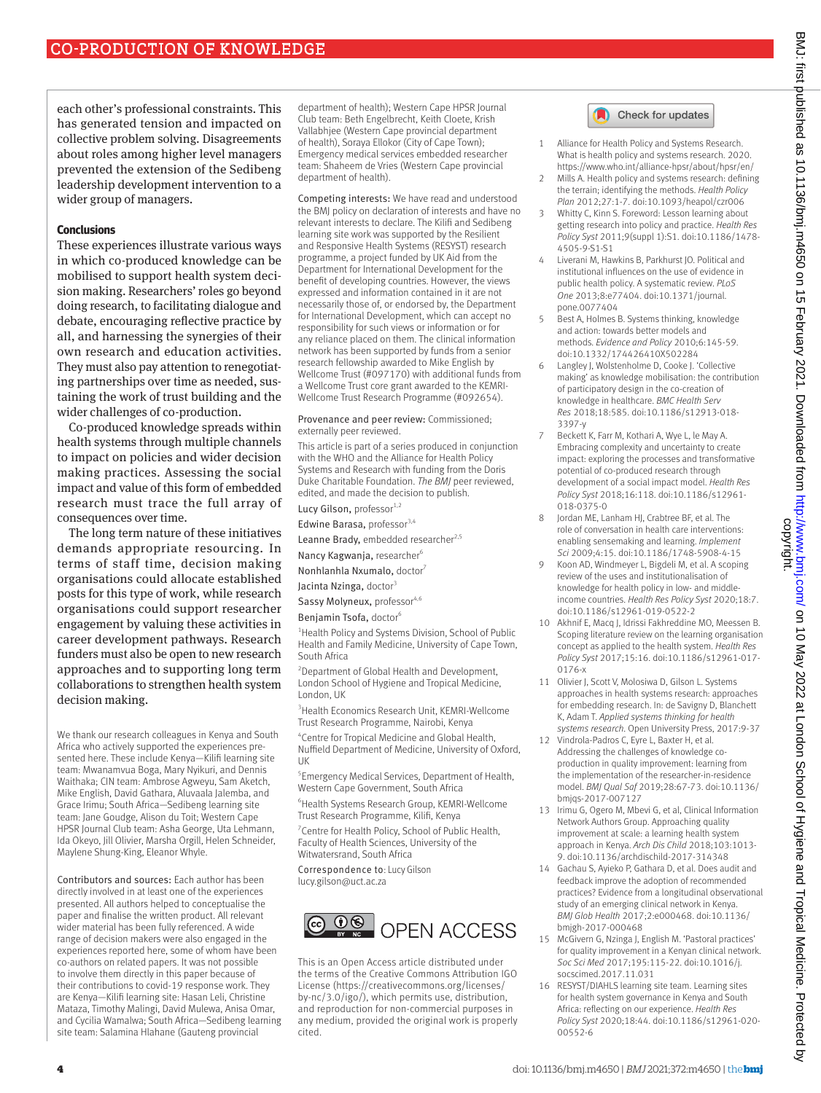each other's professional constraints. This has generated tension and impacted on collective problem solving. Disagreements about roles among higher level managers prevented the extension of the Sedibeng leadership development intervention to a wider group of managers.

### **Conclusions**

These experiences illustrate various ways in which co-produced knowledge can be mobilised to support health system decision making. Researchers' roles go beyond doing research, to facilitating dialogue and debate, encouraging reflective practice by all, and harnessing the synergies of their own research and education activities. They must also pay attention to renegotiating partnerships over time as needed, sustaining the work of trust building and the wider challenges of co-production.

Co-produced knowledge spreads within health systems through multiple channels to impact on policies and wider decision making practices. Assessing the social impact and value of this form of embedded research must trace the full array of consequences over time.

The long term nature of these initiatives demands appropriate resourcing. In terms of staff time, decision making organisations could allocate established posts for this type of work, while research organisations could support researcher engagement by valuing these activities in career development pathways. Research funders must also be open to new research approaches and to supporting long term collaborations to strengthen health system decision making.

We thank our research colleagues in Kenya and South Africa who actively supported the experiences presented here. These include Kenya—Kilifi learning site team: Mwanamvua Boga, Mary Nyikuri, and Dennis Waithaka; CIN team: Ambrose Agweyu, Sam Aketch, Mike English, David Gathara, Aluvaala Jalemba, and Grace Irimu; South Africa—Sedibeng learning site team: Jane Goudge, Alison du Toit; Western Cape HPSR Journal Club team: Asha George, Uta Lehmann, Ida Okeyo, Jill Olivier, Marsha Orgill, Helen Schneider, Maylene Shung-King, Eleanor Whyle.

Contributors and sources: Each author has been directly involved in at least one of the experiences presented. All authors helped to conceptualise the paper and finalise the written product. All relevant wider material has been fully referenced. A wide range of decision makers were also engaged in the experiences reported here, some of whom have been co-authors on related papers. It was not possible to involve them directly in this paper because of their contributions to covid-19 response work. They are Kenya—Kilifi learning site: Hasan Leli, Christine Mataza, Timothy Malingi, David Mulewa, Anisa Omar, and Cycilia Wamalwa; South Africa—Sedibeng learning site team: Salamina Hlahane (Gauteng provincial

department of health); Western Cape HPSR Journal Club team: Beth Engelbrecht, Keith Cloete, Krish Vallabhjee (Western Cape provincial department of health), Soraya Ellokor (City of Cape Town); Emergency medical services embedded researcher team: Shaheem de Vries (Western Cape provincial department of health).

Competing interests: We have read and understood the BMJ policy on declaration of interests and have no relevant interests to declare. The Kilifi and Sedibeng learning site work was supported by the Resilient and Responsive Health Systems (RESYST) research programme, a project funded by UK Aid from the Department for International Development for the benefit of developing countries. However, the views expressed and information contained in it are not necessarily those of, or endorsed by, the Department for International Development, which can accept no responsibility for such views or information or for any reliance placed on them. The clinical information network has been supported by funds from a senior research fellowship awarded to Mike English by Wellcome Trust (#097170) with additional funds from a Wellcome Trust core grant awarded to the KEMRI-Wellcome Trust Research Programme (#092654).

Provenance and peer review: Commissioned; externally peer reviewed.

This article is part of a series produced in conjunction with the WHO and the Alliance for Health Policy Systems and Research with funding from the Doris Duke Charitable Foundation. *The BMJ* peer reviewed, edited, and made the decision to publish.

Lucy Gilson, professor<sup>1,2</sup> Edwine Barasa, professor<sup>3,4</sup>

Leanne Brady, embedded researcher<sup>2,5</sup>

Nancy Kagwanja, researcher<sup>6</sup>

Nonhlanhla Nxumalo, doctor<sup>7</sup>

Jacinta Nzinga, doctor<sup>3</sup>

Sassy Molyneux, professor<sup>4,6</sup>

Benjamin Tsofa, doctor<sup>6</sup>

<sup>1</sup> Health Policy and Systems Division, School of Public Health and Family Medicine, University of Cape Town, South Africa

2 Department of Global Health and Development, London School of Hygiene and Tropical Medicine, London, UK

3 Health Economics Research Unit, KEMRI-Wellcome Trust Research Programme, Nairobi, Kenya

4 Centre for Tropical Medicine and Global Health, Nuffield Department of Medicine, University of Oxford, UK

5 Emergency Medical Services, Department of Health, Western Cape Government, South Africa

6 Health Systems Research Group, KEMRI-Wellcome Trust Research Programme, Kilifi, Kenya

<sup>7</sup> Centre for Health Policy, School of Public Health, Faculty of Health Sciences, University of the Witwatersrand, South Africa

Correspondence to: Lucy Gilson [lucy.gilson@uct.ac.za](mailto:lucy.gilson@uct.ac.za)



This is an Open Access article distributed under the terms of the Creative Commons Attribution IGO License (https://creativecommons.org/licenses/ by-nc/3.0/igo/), which permits use, distribution, and reproduction for non-commercial purposes in any medium, provided the original work is properly cited.



- 1 Alliance for Health Policy and Systems Research. What is health policy and systems research. 2020. <https://www.who.int/alliance-hpsr/about/hpsr/en/>
- 2 Mills A. Health policy and systems research: defining the terrain; identifying the methods. *Health Policy Plan* 2012;27:1-7. doi:10.1093/heapol/czr006
- 3 Whitty C, Kinn S. Foreword: Lesson learning about getting research into policy and practice. *Health Res Policy Syst* 2011;9(suppl 1):S1. doi:10.1186/1478- 4505-9-S1-S1
- 4 Liverani M, Hawkins B, Parkhurst JO. Political and institutional influences on the use of evidence in public health policy. A systematic review. *PLoS One* 2013;8:e77404. doi:10.1371/journal. pone.0077404
- 5 Best A, Holmes B. Systems thinking, knowledge and action: towards better models and methods. *Evidence and Policy* 2010;6:145-59. doi:10.1332/174426410X502284
- 6 Langley J, Wolstenholme D, Cooke J. 'Collective making' as knowledge mobilisation: the contribution of participatory design in the co-creation of knowledge in healthcare. *BMC Health Serv Res* 2018;18:585. doi:10.1186/s12913-018- 3397-y
- 7 Beckett K, Farr M, Kothari A, Wye L, le May A. Embracing complexity and uncertainty to create impact: exploring the processes and transformative potential of co-produced research through development of a social impact model. *Health Res Policy Syst* 2018;16:118. doi:10.1186/s12961- 018-0375-0
- 8 Jordan ME, Lanham HJ, Crabtree BF, et al. The role of conversation in health care interventions: enabling sensemaking and learning. *Implement Sci* 2009;4:15. doi:10.1186/1748-5908-4-15
- Koon AD, Windmeyer L, Bigdeli M, et al. A scoping review of the uses and institutionalisation of knowledge for health policy in low- and middleincome countries. *Health Res Policy Syst* 2020;18:7. doi:10.1186/s12961-019-0522-2
- Akhnif E, Macq J, Idrissi Fakhreddine MO, Meessen B. Scoping literature review on the learning organisation concept as applied to the health system. *Health Res Policy Syst* 2017;15:16. doi:10.1186/s12961-017- 0176-x
- 11 Olivier J, Scott V, Molosiwa D, Gilson L. Systems approaches in health systems research: approaches for embedding research. In: de Savigny D, Blanchett K, Adam T. *Applied systems thinking for health systems research*. Open University Press, 2017:9-37
- Vindrola-Padros C, Eyre L, Baxter H, et al. Addressing the challenges of knowledge coproduction in quality improvement: learning from the implementation of the researcher-in-residence model. *BMJ Qual Saf* 2019;28:67-73. doi:10.1136/ bmjqs-2017-007127
- 13 Irimu G, Ogero M, Mbevi G, et al, Clinical Information Network Authors Group. Approaching quality improvement at scale: a learning health system approach in Kenya. *Arch Dis Child* 2018;103:1013- 9. doi:10.1136/archdischild-2017-314348
- 14 Gachau S, Ayieko P, Gathara D, et al. Does audit and feedback improve the adoption of recommended practices? Evidence from a longitudinal observational study of an emerging clinical network in Kenya. *BMJ Glob Health* 2017;2:e000468. doi:10.1136/ bmjgh-2017-000468
- 15 McGivern G, Nzinga J, English M. 'Pastoral practices' for quality improvement in a Kenyan clinical network. *Soc Sci Med* 2017;195:115-22. doi:10.1016/j. socscimed.2017.11.031
- 16 RESYST/DIAHLS learning site team. Learning sites for health system governance in Kenya and South Africa: reflecting on our experience. *Health Res Policy Syst* 2020;18:44. doi:10.1186/s12961-020- 00552-6